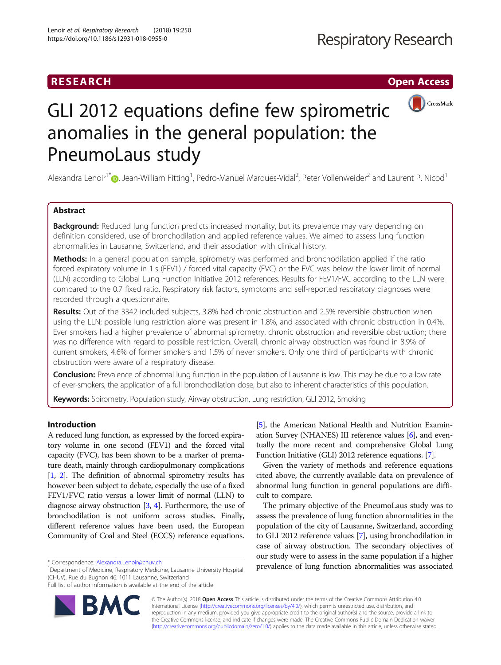# **RESEARCH CHINESE ARCH CHINESE ARCH CHINESE ARCH**



# GLI 2012 equations define few spirometric anomalies in the general population: the PneumoLaus study

Alexandra Lenoir<sup>1[\\*](http://orcid.org/0000-0003-2189-6507)</sup>©, Jean-William Fitting<sup>1</sup>, Pedro-Manuel Marques-Vidal<sup>2</sup>, Peter Vollenweider<sup>2</sup> and Laurent P. Nicod<sup>1</sup>

# Abstract

**Background:** Reduced lung function predicts increased mortality, but its prevalence may vary depending on definition considered, use of bronchodilation and applied reference values. We aimed to assess lung function abnormalities in Lausanne, Switzerland, and their association with clinical history.

**Methods:** In a general population sample, spirometry was performed and bronchodilation applied if the ratio forced expiratory volume in 1 s (FEV1) / forced vital capacity (FVC) or the FVC was below the lower limit of normal (LLN) according to Global Lung Function Initiative 2012 references. Results for FEV1/FVC according to the LLN were compared to the 0.7 fixed ratio. Respiratory risk factors, symptoms and self-reported respiratory diagnoses were recorded through a questionnaire.

Results: Out of the 3342 included subjects, 3.8% had chronic obstruction and 2.5% reversible obstruction when using the LLN; possible lung restriction alone was present in 1.8%, and associated with chronic obstruction in 0.4%. Ever smokers had a higher prevalence of abnormal spirometry, chronic obstruction and reversible obstruction; there was no difference with regard to possible restriction. Overall, chronic airway obstruction was found in 8.9% of current smokers, 4.6% of former smokers and 1.5% of never smokers. Only one third of participants with chronic obstruction were aware of a respiratory disease.

**Conclusion:** Prevalence of abnormal lung function in the population of Lausanne is low. This may be due to a low rate of ever-smokers, the application of a full bronchodilation dose, but also to inherent characteristics of this population.

Keywords: Spirometry, Population study, Airway obstruction, Lung restriction, GLI 2012, Smoking

# Introduction

A reduced lung function, as expressed by the forced expiratory volume in one second (FEV1) and the forced vital capacity (FVC), has been shown to be a marker of premature death, mainly through cardiopulmonary complications [[1](#page-8-0), [2\]](#page-8-0). The definition of abnormal spirometry results has however been subject to debate, especially the use of a fixed FEV1/FVC ratio versus a lower limit of normal (LLN) to diagnose airway obstruction [\[3,](#page-8-0) [4\]](#page-8-0). Furthermore, the use of bronchodilation is not uniform across studies. Finally, different reference values have been used, the European Community of Coal and Steel (ECCS) reference equations.

<sup>1</sup>Department of Medicine, Respiratory Medicine, Lausanne University Hospital (CHUV), Rue du Bugnon 46, 1011 Lausanne, Switzerland

Full list of author information is available at the end of the article



[[5](#page-8-0)], the American National Health and Nutrition Examination Survey (NHANES) III reference values [[6](#page-8-0)], and eventually the more recent and comprehensive Global Lung Function Initiative (GLI) 2012 reference equations. [[7](#page-8-0)].

Given the variety of methods and reference equations cited above, the currently available data on prevalence of abnormal lung function in general populations are difficult to compare.

The primary objective of the PneumoLaus study was to assess the prevalence of lung function abnormalities in the population of the city of Lausanne, Switzerland, according to GLI 2012 reference values [[7\]](#page-8-0), using bronchodilation in case of airway obstruction. The secondary objectives of our study were to assess in the same population if a higher \* Correspondence: [Alexandra.Lenoir@chuv.ch](mailto:Alexandra.Lenoir@chuv.ch)<br><sup>1</sup>Department of Modicine Peopistan: Modicine Laurence University Hespital **prevalence of lung function abnormalities was associated** 

> © The Author(s). 2018 Open Access This article is distributed under the terms of the Creative Commons Attribution 4.0 International License [\(http://creativecommons.org/licenses/by/4.0/](http://creativecommons.org/licenses/by/4.0/)), which permits unrestricted use, distribution, and reproduction in any medium, provided you give appropriate credit to the original author(s) and the source, provide a link to the Creative Commons license, and indicate if changes were made. The Creative Commons Public Domain Dedication waiver [\(http://creativecommons.org/publicdomain/zero/1.0/](http://creativecommons.org/publicdomain/zero/1.0/)) applies to the data made available in this article, unless otherwise stated.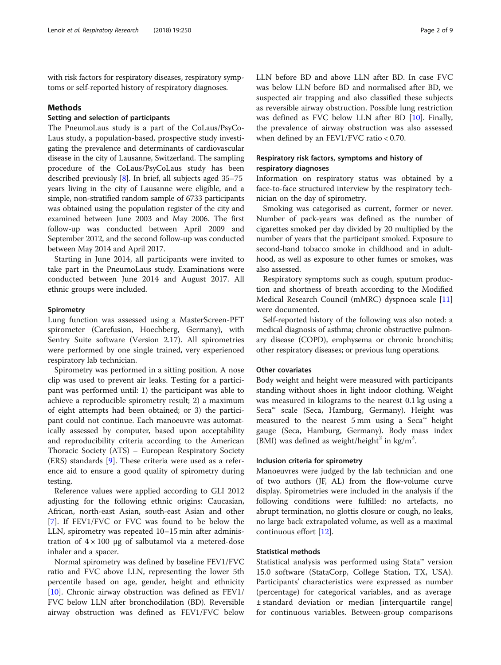with risk factors for respiratory diseases, respiratory symptoms or self-reported history of respiratory diagnoses.

### Methods

# Setting and selection of participants

The PneumoLaus study is a part of the CoLaus/PsyCo-Laus study, a population-based, prospective study investigating the prevalence and determinants of cardiovascular disease in the city of Lausanne, Switzerland. The sampling procedure of the CoLaus/PsyCoLaus study has been described previously [\[8\]](#page-8-0). In brief, all subjects aged 35–75 years living in the city of Lausanne were eligible, and a simple, non-stratified random sample of 6733 participants was obtained using the population register of the city and examined between June 2003 and May 2006. The first follow-up was conducted between April 2009 and September 2012, and the second follow-up was conducted between May 2014 and April 2017.

Starting in June 2014, all participants were invited to take part in the PneumoLaus study. Examinations were conducted between June 2014 and August 2017. All ethnic groups were included.

#### **Spirometry**

Lung function was assessed using a MasterScreen-PFT spirometer (Carefusion, Hoechberg, Germany), with Sentry Suite software (Version 2.17). All spirometries were performed by one single trained, very experienced respiratory lab technician.

Spirometry was performed in a sitting position. A nose clip was used to prevent air leaks. Testing for a participant was performed until: 1) the participant was able to achieve a reproducible spirometry result; 2) a maximum of eight attempts had been obtained; or 3) the participant could not continue. Each manoeuvre was automatically assessed by computer, based upon acceptability and reproducibility criteria according to the American Thoracic Society (ATS) – European Respiratory Society (ERS) standards [\[9\]](#page-8-0). These criteria were used as a reference aid to ensure a good quality of spirometry during testing.

Reference values were applied according to GLI 2012 adjusting for the following ethnic origins: Caucasian, African, north-east Asian, south-east Asian and other [[7\]](#page-8-0). If FEV1/FVC or FVC was found to be below the LLN, spirometry was repeated 10–15 min after administration of  $4 \times 100 \mu$ g of salbutamol via a metered-dose inhaler and a spacer.

Normal spirometry was defined by baseline FEV1/FVC ratio and FVC above LLN, representing the lower 5th percentile based on age, gender, height and ethnicity [[10\]](#page-8-0). Chronic airway obstruction was defined as FEV1/ FVC below LLN after bronchodilation (BD). Reversible airway obstruction was defined as FEV1/FVC below LLN before BD and above LLN after BD. In case FVC was below LLN before BD and normalised after BD, we suspected air trapping and also classified these subjects as reversible airway obstruction. Possible lung restriction was defined as FVC below LLN after BD [[10\]](#page-8-0). Finally, the prevalence of airway obstruction was also assessed when defined by an FEV1/FVC ratio < 0.70.

# Respiratory risk factors, symptoms and history of respiratory diagnoses

Information on respiratory status was obtained by a face-to-face structured interview by the respiratory technician on the day of spirometry.

Smoking was categorised as current, former or never. Number of pack-years was defined as the number of cigarettes smoked per day divided by 20 multiplied by the number of years that the participant smoked. Exposure to second-hand tobacco smoke in childhood and in adulthood, as well as exposure to other fumes or smokes, was also assessed.

Respiratory symptoms such as cough, sputum production and shortness of breath according to the Modified Medical Research Council (mMRC) dyspnoea scale [[11](#page-8-0)] were documented.

Self-reported history of the following was also noted: a medical diagnosis of asthma; chronic obstructive pulmonary disease (COPD), emphysema or chronic bronchitis; other respiratory diseases; or previous lung operations.

## Other covariates

Body weight and height were measured with participants standing without shoes in light indoor clothing. Weight was measured in kilograms to the nearest 0.1 kg using a Seca™ scale (Seca, Hamburg, Germany). Height was measured to the nearest 5 mm using a Seca™ height gauge (Seca, Hamburg, Germany). Body mass index (BMI) was defined as weight/height<sup>2</sup> in kg/m<sup>2</sup>.

## Inclusion criteria for spirometry

Manoeuvres were judged by the lab technician and one of two authors (JF, AL) from the flow-volume curve display. Spirometries were included in the analysis if the following conditions were fulfilled: no artefacts, no abrupt termination, no glottis closure or cough, no leaks, no large back extrapolated volume, as well as a maximal continuous effort [\[12](#page-8-0)].

# Statistical methods

Statistical analysis was performed using Stata™ version 15.0 software (StataCorp, College Station, TX, USA). Participants' characteristics were expressed as number (percentage) for categorical variables, and as average ± standard deviation or median [interquartile range] for continuous variables. Between-group comparisons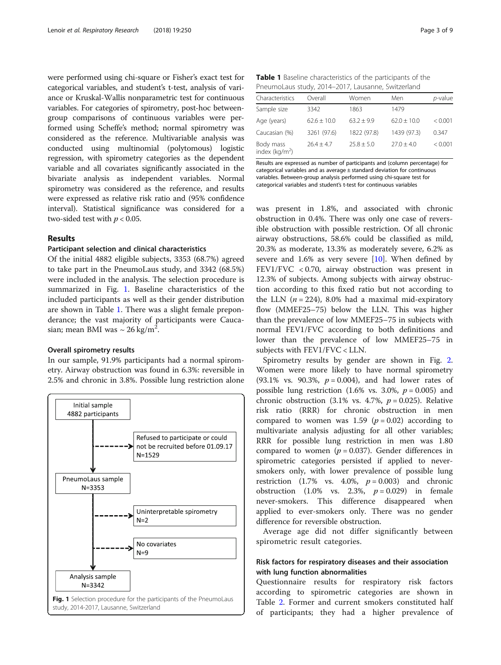were performed using chi-square or Fisher's exact test for categorical variables, and student's t-test, analysis of variance or Kruskal-Wallis nonparametric test for continuous variables. For categories of spirometry, post-hoc betweengroup comparisons of continuous variables were performed using Scheffe's method; normal spirometry was considered as the reference. Multivariable analysis was conducted using multinomial (polytomous) logistic regression, with spirometry categories as the dependent variable and all covariates significantly associated in the bivariate analysis as independent variables. Normal spirometry was considered as the reference, and results were expressed as relative risk ratio and (95% confidence interval). Statistical significance was considered for a two-sided test with  $p < 0.05$ .

# Results

# Participant selection and clinical characteristics

Of the initial 4882 eligible subjects, 3353 (68.7%) agreed to take part in the PneumoLaus study, and 3342 (68.5%) were included in the analysis. The selection procedure is summarized in Fig. 1. Baseline characteristics of the included participants as well as their gender distribution are shown in Table 1. There was a slight female preponderance; the vast majority of participants were Caucasian; mean BMI was  $\sim$  26 kg/m<sup>2</sup>.

#### Overall spirometry results

In our sample, 91.9% participants had a normal spirometry. Airway obstruction was found in 6.3%: reversible in 2.5% and chronic in 3.8%. Possible lung restriction alone



Table 1 Baseline characteristics of the participants of the PneumoLaus study, 2014–2017, Lausanne, Switzerland

| Characteristics                         | Overall       | Women        | Men           | p-value |
|-----------------------------------------|---------------|--------------|---------------|---------|
| Sample size                             | 3342          | 1863         | 1479          |         |
| Age (years)                             | $62.6 + 10.0$ | $63.2 + 9.9$ | $62.0 + 10.0$ | < 0.001 |
| Caucasian (%)                           | 3261 (97.6)   | 1822 (97.8)  | 1439 (97.3)   | 0.347   |
| Body mass<br>index (kg/m <sup>2</sup> ) | $76.4 + 4.7$  | $25.8 + 5.0$ | $77.0 + 4.0$  | < 0.001 |

Results are expressed as number of participants and (column percentage) for categorical variables and as average ± standard deviation for continuous variables. Between-group analysis performed using chi-square test for categorical variables and student's t-test for continuous variables

was present in 1.8%, and associated with chronic obstruction in 0.4%. There was only one case of reversible obstruction with possible restriction. Of all chronic airway obstructions, 58.6% could be classified as mild, 20.3% as moderate, 13.3% as moderately severe, 6.2% as severe and 1.6% as very severe [\[10\]](#page-8-0). When defined by FEV1/FVC < 0.70, airway obstruction was present in 12.3% of subjects. Among subjects with airway obstruction according to this fixed ratio but not according to the LLN  $(n = 224)$ , 8.0% had a maximal mid-expiratory flow (MMEF25–75) below the LLN. This was higher than the prevalence of low MMEF25–75 in subjects with normal FEV1/FVC according to both definitions and lower than the prevalence of low MMEF25–75 in subjects with FEV1/FVC < LLN.

Spirometry results by gender are shown in Fig. [2](#page-3-0). Women were more likely to have normal spirometry (93.1% vs. 90.3%,  $p = 0.004$ ), and had lower rates of possible lung restriction (1.6% vs. 3.0%,  $p = 0.005$ ) and chronic obstruction (3.1% vs. 4.7%,  $p = 0.025$ ). Relative risk ratio (RRR) for chronic obstruction in men compared to women was 1.59 ( $p = 0.02$ ) according to multivariate analysis adjusting for all other variables; RRR for possible lung restriction in men was 1.80 compared to women ( $p = 0.037$ ). Gender differences in spirometric categories persisted if applied to neversmokers only, with lower prevalence of possible lung restriction (1.7% vs. 4.0%,  $p = 0.003$ ) and chronic obstruction (1.0% vs. 2.3%,  $p = 0.029$ ) in female never-smokers. This difference disappeared when applied to ever-smokers only. There was no gender difference for reversible obstruction.

Average age did not differ significantly between spirometric result categories.

# Risk factors for respiratory diseases and their association with lung function abnormalities

Questionnaire results for respiratory risk factors according to spirometric categories are shown in Table [2.](#page-3-0) Former and current smokers constituted half of participants; they had a higher prevalence of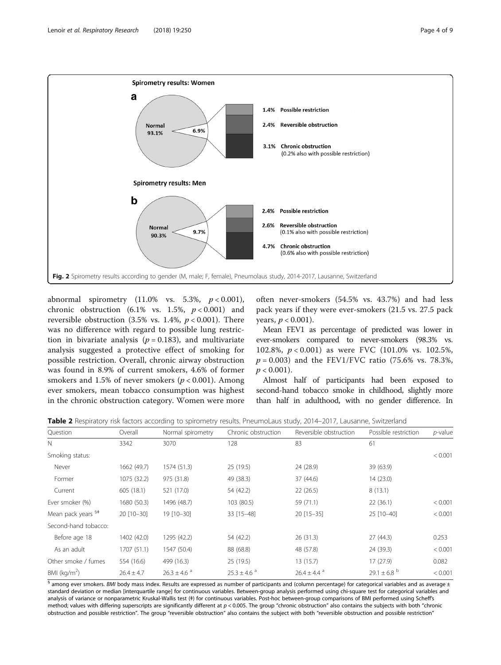<span id="page-3-0"></span>

abnormal spirometry  $(11.0\% \text{ vs. } 5.3\%, \text{ p} < 0.001)$ , chronic obstruction (6.1% vs. 1.5%,  $p < 0.001$ ) and reversible obstruction (3.5% vs. 1.4%,  $p < 0.001$ ). There was no difference with regard to possible lung restriction in bivariate analysis ( $p = 0.183$ ), and multivariate analysis suggested a protective effect of smoking for possible restriction. Overall, chronic airway obstruction was found in 8.9% of current smokers, 4.6% of former smokers and 1.5% of never smokers ( $p < 0.001$ ). Among ever smokers, mean tobacco consumption was highest in the chronic obstruction category. Women were more often never-smokers (54.5% vs. 43.7%) and had less pack years if they were ever-smokers (21.5 vs. 27.5 pack years,  $p < 0.001$ ).

Mean FEV1 as percentage of predicted was lower in ever-smokers compared to never-smokers (98.3% vs. 102.8%, p < 0.001) as were FVC (101.0% vs. 102.5%,  $p = 0.003$ ) and the FEV1/FVC ratio (75.6% vs. 78.3%,  $p < 0.001$ ).

Almost half of participants had been exposed to second-hand tobacco smoke in childhood, slightly more than half in adulthood, with no gender difference. In

Table 2 Respiratory risk factors according to spirometry results. PneumoLaus study, 2014–2017, Lausanne, Switzerland

| Question                      | Overall        | Normal spirometry           | Chronic obstruction         | Reversible obstruction      | Possible restriction        | $p$ -value |
|-------------------------------|----------------|-----------------------------|-----------------------------|-----------------------------|-----------------------------|------------|
| N                             | 3342           | 3070                        | 128                         | 83                          | 61                          |            |
| Smoking status:               |                |                             |                             |                             |                             | < 0.001    |
| Never                         | 1662 (49.7)    | 1574 (51.3)                 | 25(19.5)                    | 24 (28.9)                   | 39 (63.9)                   |            |
| Former                        | 1075 (32.2)    | 975 (31.8)                  | 49 (38.3)                   | 37 (44.6)                   | 14(23.0)                    |            |
| Current                       | 605 (18.1)     | 521 (17.0)                  | 54 (42.2)                   | 22(26.5)                    | 8(13.1)                     |            |
| Ever smoker (%)               | 1680 (50.3)    | 1496 (48.7)                 | 103 (80.5)                  | 59 (71.1)                   | 22(36.1)                    | < 0.001    |
| Mean pack years <sup>§#</sup> | 20 [10-30]     | 19 [10-30]                  | 33 [15-48]                  | 20 [15-35]                  | 25 [10-40]                  | < 0.001    |
| Second-hand tobacco:          |                |                             |                             |                             |                             |            |
| Before age 18                 | 1402 (42.0)    | 1295 (42.2)                 | 54 (42.2)                   | 26(31.3)                    | 27(44.3)                    | 0.253      |
| As an adult                   | 1707 (51.1)    | 1547 (50.4)                 | 88 (68.8)                   | 48 (57.8)                   | 24 (39.3)                   | < 0.001    |
| Other smoke / fumes           | 554 (16.6)     | 499 (16.3)                  | 25(19.5)                    | 13(15.7)                    | 17(27.9)                    | 0.082      |
| BMI ( $\text{kg/m}^2$ )       | $26.4 \pm 4.7$ | $26.3 \pm 4.6$ <sup>a</sup> | $25.3 \pm 4.6$ <sup>a</sup> | $26.4 \pm 4.4$ <sup>a</sup> | 29.1 $\pm$ 6.8 <sup>b</sup> | < 0.001    |
|                               |                |                             |                             |                             |                             |            |

 $^{\circ}$  among ever smokers. BMI body mass index. Results are expressed as number of participants and (column percentage) for categorical variables and as average  $\pm$ standard deviation or median [interquartile range] for continuous variables. Between-group analysis performed using chi-square test for categorical variables and analysis of variance or nonparametric Kruskal-Wallis test (‡) for continuous variables. Post-hoc between-group comparisons of BMI performed using Scheff's method; values with differing superscripts are significantly different at p < 0.005. The group "chronic obstruction" also contains the subjects with both "chronic obstruction and possible restriction". The group "reversible obstruction" also contains the subject with both "reversible obstruction and possible restriction"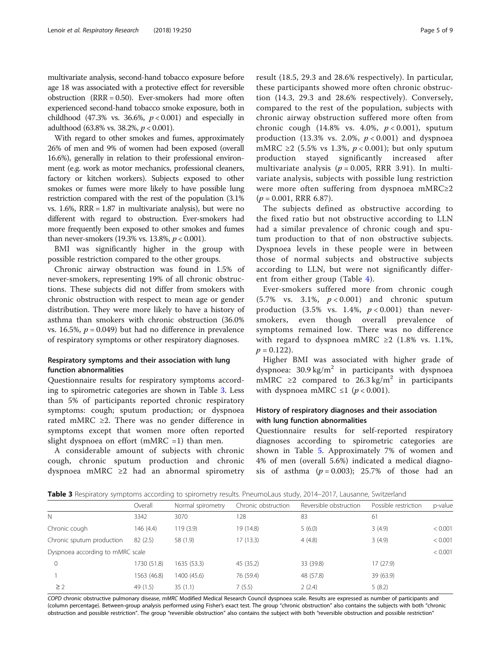multivariate analysis, second-hand tobacco exposure before age 18 was associated with a protective effect for reversible obstruction (RRR = 0.50). Ever-smokers had more often experienced second-hand tobacco smoke exposure, both in childhood (47.3% vs. 36.6%,  $p < 0.001$ ) and especially in adulthood (63.8% vs. 38.2%, p < 0.001).

With regard to other smokes and fumes, approximately 26% of men and 9% of women had been exposed (overall 16.6%), generally in relation to their professional environment (e.g. work as motor mechanics, professional cleaners, factory or kitchen workers). Subjects exposed to other smokes or fumes were more likely to have possible lung restriction compared with the rest of the population (3.1% vs. 1.6%, RRR = 1.87 in multivariate analysis), but were no different with regard to obstruction. Ever-smokers had more frequently been exposed to other smokes and fumes than never-smokers (19.3% vs. 13.8%,  $p < 0.001$ ).

BMI was significantly higher in the group with possible restriction compared to the other groups.

Chronic airway obstruction was found in 1.5% of never-smokers, representing 19% of all chronic obstructions. These subjects did not differ from smokers with chronic obstruction with respect to mean age or gender distribution. They were more likely to have a history of asthma than smokers with chronic obstruction (36.0% vs. 16.5%,  $p = 0.049$ ) but had no difference in prevalence of respiratory symptoms or other respiratory diagnoses.

# Respiratory symptoms and their association with lung function abnormalities

Questionnaire results for respiratory symptoms according to spirometric categories are shown in Table 3. Less than 5% of participants reported chronic respiratory symptoms: cough; sputum production; or dyspnoea rated mMRC ≥2. There was no gender difference in symptoms except that women more often reported slight dyspnoea on effort (mMRC =1) than men.

A considerable amount of subjects with chronic cough, chronic sputum production and chronic dyspnoea mMRC ≥2 had an abnormal spirometry result (18.5, 29.3 and 28.6% respectively). In particular, these participants showed more often chronic obstruction (14.3, 29.3 and 28.6% respectively). Conversely, compared to the rest of the population, subjects with chronic airway obstruction suffered more often from chronic cough  $(14.8\% \text{ vs. } 4.0\%, p < 0.001)$ , sputum production (13.3% vs. 2.0%,  $p < 0.001$ ) and dyspnoea mMRC ≥2 (5.5% vs 1.3%,  $p < 0.001$ ); but only sputum production stayed significantly increased after multivariate analysis ( $p = 0.005$ , RRR 3.91). In multivariate analysis, subjects with possible lung restriction were more often suffering from dyspnoea mMRC≥2  $(p = 0.001, RRR 6.87).$ 

The subjects defined as obstructive according to the fixed ratio but not obstructive according to LLN had a similar prevalence of chronic cough and sputum production to that of non obstructive subjects. Dyspnoea levels in these people were in between those of normal subjects and obstructive subjects according to LLN, but were not significantly different from either group (Table [4\)](#page-5-0).

Ever-smokers suffered more from chronic cough  $(5.7\% \text{ vs. } 3.1\%, p < 0.001)$  and chronic sputum production  $(3.5\% \text{ vs. } 1.4\%, p < 0.001)$  than neversmokers, even though overall prevalence of symptoms remained low. There was no difference with regard to dyspnoea mMRC  $\geq 2$  (1.8% vs. 1.1%,  $p = 0.122$ .

Higher BMI was associated with higher grade of dyspnoea:  $30.9 \text{ kg/m}^2$  in participants with dyspnoea mMRC  $\geq$ 2 compared to 26.3 kg/m<sup>2</sup> in participants with dyspnoea mMRC  $\leq 1$  ( $p < 0.001$ ).

# History of respiratory diagnoses and their association with lung function abnormalities

Questionnaire results for self-reported respiratory diagnoses according to spirometric categories are shown in Table [5.](#page-5-0) Approximately 7% of women and 4% of men (overall 5.6%) indicated a medical diagnosis of asthma  $(p = 0.003)$ ; 25.7% of those had an

|  |  |  |  |  |  | Table 3 Respiratory symptoms according to spirometry results. PneumoLaus study, 2014–2017, Lausanne, Switzerland |  |  |  |  |
|--|--|--|--|--|--|------------------------------------------------------------------------------------------------------------------|--|--|--|--|
|--|--|--|--|--|--|------------------------------------------------------------------------------------------------------------------|--|--|--|--|

|                                  | Overall     | Normal spirometry | Chronic obstruction | Reversible obstruction | Possible restriction | p-value |
|----------------------------------|-------------|-------------------|---------------------|------------------------|----------------------|---------|
| N                                | 3342        | 3070              | 128                 | 83                     | 61                   |         |
| Chronic cough                    | 146 (4.4)   | 119 (3.9)         | 19 (14.8)           | 5(6.0)                 | 3(4.9)               | < 0.001 |
| Chronic sputum production        | 82(2.5)     | 58 (1.9)          | 17 (13.3)           | 4(4.8)                 | 3(4.9)               | < 0.001 |
| Dyspnoea according to mMRC scale |             |                   |                     |                        |                      | < 0.001 |
| $\Omega$                         | 1730 (51.8) | 1635 (53.3)       | 45 (35.2)           | 33 (39.8)              | 17 (27.9)            |         |
|                                  | 1563 (46.8) | 1400 (45.6)       | 76 (59.4)           | 48 (57.8)              | 39 (63.9)            |         |
| $\geq$ 2                         | 49 (1.5)    | 35(1.1)           | 7(5.5)              | 2(2.4)                 | 5(8.2)               |         |

COPD chronic obstructive pulmonary disease, mMRC Modified Medical Research Council dyspnoea scale. Results are expressed as number of participants and (column percentage). Between-group analysis performed using Fisher's exact test. The group "chronic obstruction" also contains the subjects with both "chronic obstruction and possible restriction". The group "reversible obstruction" also contains the subject with both "reversible obstruction and possible restriction"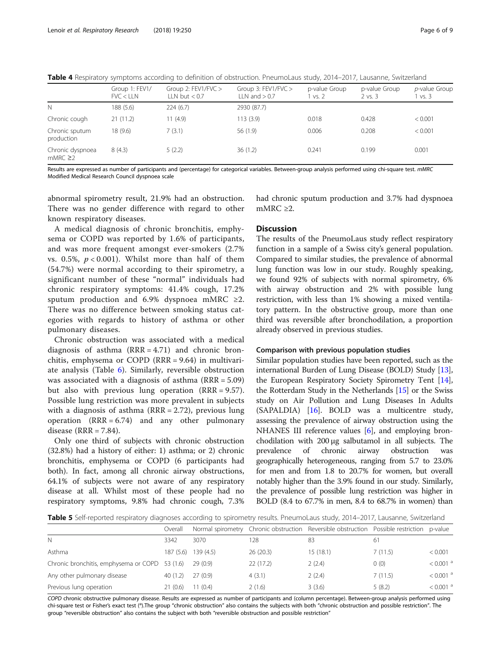<span id="page-5-0"></span>

|  |  |  | Table 4 Respiratory symptoms according to definition of obstruction. PneumoLaus study, 2014–2017, Lausanne, Switzerland |  |  |  |  |  |  |  |  |  |  |  |  |
|--|--|--|-------------------------------------------------------------------------------------------------------------------------|--|--|--|--|--|--|--|--|--|--|--|--|
|--|--|--|-------------------------------------------------------------------------------------------------------------------------|--|--|--|--|--|--|--|--|--|--|--|--|

|                                   | Group 1: FEV1/<br>FVC < LLN | Group 2: $FEV1/FVC$ ><br>LLN but $< 0.7$ | Group 3: $FEV1/FVC$ ><br>LLN and $> 0.7$ | p-value Group<br>1 vs. 2 | p-value Group<br>$2$ vs. $3$ | <i>p</i> -value Group<br>$\sqrt{s}$ . 3 |
|-----------------------------------|-----------------------------|------------------------------------------|------------------------------------------|--------------------------|------------------------------|-----------------------------------------|
| N                                 | 188(5.6)                    | 224(6.7)                                 | 2930 (87.7)                              |                          |                              |                                         |
| Chronic cough                     | 21(11.2)                    | 11 (4.9)                                 | 113(3.9)                                 | 0.018                    | 0.428                        | < 0.001                                 |
| Chronic sputum<br>production      | 18 (9.6)                    | 7(3.1)                                   | 56 (1.9)                                 | 0.006                    | 0.208                        | < 0.001                                 |
| Chronic dyspnoea<br>$mMRC \geq 2$ | 8(4.3)                      | 5(2.2)                                   | 36(1.2)                                  | 0.241                    | 0.199                        | 0.001                                   |

Results are expressed as number of participants and (percentage) for categorical variables. Between-group analysis performed using chi-square test. mMRC Modified Medical Research Council dyspnoea scale

abnormal spirometry result, 21.9% had an obstruction. There was no gender difference with regard to other known respiratory diseases.

A medical diagnosis of chronic bronchitis, emphysema or COPD was reported by 1.6% of participants, and was more frequent amongst ever-smokers (2.7% vs. 0.5%,  $p < 0.001$ ). Whilst more than half of them (54.7%) were normal according to their spirometry, a significant number of these "normal" individuals had chronic respiratory symptoms: 41.4% cough, 17.2% sputum production and  $6.9\%$  dyspnoea mMRC  $\geq 2$ . There was no difference between smoking status categories with regards to history of asthma or other pulmonary diseases.

Chronic obstruction was associated with a medical diagnosis of asthma  $(RRR = 4.71)$  and chronic bronchitis, emphysema or COPD (RRR = 9.64) in multivariate analysis (Table [6](#page-6-0)). Similarly, reversible obstruction was associated with a diagnosis of asthma (RRR = 5.09) but also with previous lung operation  $(RRR = 9.57)$ . Possible lung restriction was more prevalent in subjects with a diagnosis of asthma (RRR = 2.72), previous lung operation  $(RRR = 6.74)$  and any other pulmonary disease (RRR = 7.84).

Only one third of subjects with chronic obstruction (32.8%) had a history of either: 1) asthma; or 2) chronic bronchitis, emphysema or COPD (6 participants had both). In fact, among all chronic airway obstructions, 64.1% of subjects were not aware of any respiratory disease at all. Whilst most of these people had no respiratory symptoms, 9.8% had chronic cough, 7.3% had chronic sputum production and 3.7% had dyspnoea mMRC  $\geq$ 2.

## **Discussion**

The results of the PneumoLaus study reflect respiratory function in a sample of a Swiss city's general population. Compared to similar studies, the prevalence of abnormal lung function was low in our study. Roughly speaking, we found 92% of subjects with normal spirometry, 6% with airway obstruction and 2% with possible lung restriction, with less than 1% showing a mixed ventilatory pattern. In the obstructive group, more than one third was reversible after bronchodilation, a proportion already observed in previous studies.

## Comparison with previous population studies

Similar population studies have been reported, such as the international Burden of Lung Disease (BOLD) Study [[13](#page-8-0)], the European Respiratory Society Spirometry Tent [[14](#page-8-0)], the Rotterdam Study in the Netherlands [[15](#page-8-0)] or the Swiss study on Air Pollution and Lung Diseases In Adults (SAPALDIA) [\[16\]](#page-8-0). BOLD was a multicentre study, assessing the prevalence of airway obstruction using the NHANES III reference values [\[6](#page-8-0)], and employing bronchodilation with 200 μg salbutamol in all subjects. The prevalence of chronic airway obstruction was geographically heterogeneous, ranging from 5.7 to 23.0% for men and from 1.8 to 20.7% for women, but overall notably higher than the 3.9% found in our study. Similarly, the prevalence of possible lung restriction was higher in BOLD (8.4 to 67.7% in men, 8.4 to 68.7% in women) than

Table 5 Self-reported respiratory diagnoses according to spirometry results. PneumoLaus study, 2014–2017, Lausanne, Switzerland

|                                                | Overall   |           |          | Normal spirometry Chronic obstruction Reversible obstruction Possible restriction p-value |         |                        |
|------------------------------------------------|-----------|-----------|----------|-------------------------------------------------------------------------------------------|---------|------------------------|
| N                                              | 3342      | 3070      | 128      | 83                                                                                        | 61      |                        |
| Asthma                                         | 187 (5.6) | 139 (4.5) | 26(20.3) | 15(18.1)                                                                                  | 7(11.5) | < 0.001                |
| Chronic bronchitis, emphysema or COPD 53 (1.6) |           | 29 (0.9)  | 22(17.2) | 2(2.4)                                                                                    | (0)     | $< 0.001$ <sup>a</sup> |
| Any other pulmonary disease                    | 40 (1.2)  | 27(0.9)   | 4(3.1)   | 2(2.4)                                                                                    | 7(11.5) | $< 0.001$ <sup>a</sup> |
| Previous lung operation                        | 21 (0.6)  | 11(0.4)   | 2(1.6)   | 3(3.6)                                                                                    | 5(8.2)  | $< 0.001$ <sup>a</sup> |

COPD chronic obstructive pulmonary disease. Results are expressed as number of participants and (column percentage). Between-group analysis performed using chi-square test or Fisher's exact test (<sup>a</sup>).The group "chronic obstruction" also contains the subjects with both "chronic obstruction and possible restriction". The group "reversible obstruction" also contains the subject with both "reversible obstruction and possible restriction"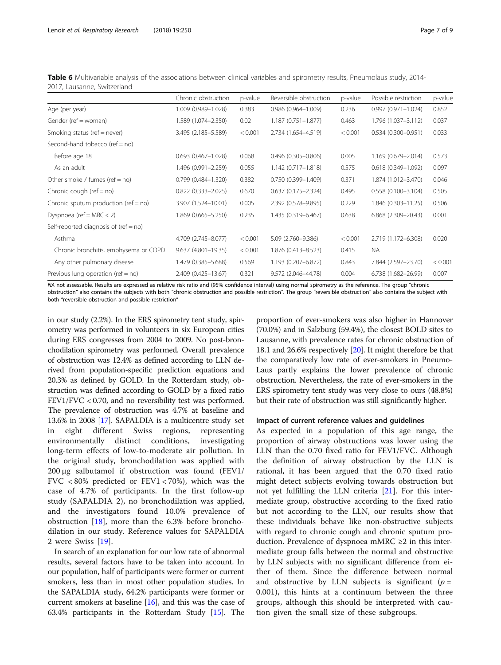<span id="page-6-0"></span>Table 6 Multivariable analysis of the associations between clinical variables and spirometry results, Pneumolaus study, 2014-2017, Lausanne, Switzerland

|                                          | Chronic obstruction    | p-value | Reversible obstruction | p-value | Possible restriction      | p-value |
|------------------------------------------|------------------------|---------|------------------------|---------|---------------------------|---------|
| Age (per year)                           | 1.009 (0.989-1.028)    | 0.383   | $0.986(0.964 - 1.009)$ | 0.236   | $0.997(0.971 - 1.024)$    | 0.852   |
| Gender (ref = woman)                     | 1.589 (1.074-2.350)    | 0.02    | $1.187(0.751 - 1.877)$ | 0.463   | 1.796 (1.037-3.112)       | 0.037   |
| Smoking status (ref = never)             | 3.495 (2.185-5.589)    | < 0.001 | 2.734 (1.654-4.519)    | < 0.001 | $0.534(0.300 - 0.951)$    | 0.033   |
| Second-hand tobacco ( $ref = no$ )       |                        |         |                        |         |                           |         |
| Before age 18                            | $0.693(0.467 - 1.028)$ | 0.068   | $0.496(0.305 - 0.806)$ | 0.005   | 1.169 (0.679-2.014)       | 0.573   |
| As an adult                              | 1.496 (0.991-2.259)    | 0.055   | 1.142 (0.717-1.818)    | 0.575   | $0.618(0.349 - 1.092)$    | 0.097   |
| Other smoke / fumes (ref = no)           | $0.799(0.484 - 1.320)$ | 0.382   | $0.750(0.399 - 1.409)$ | 0.371   | 1.874 (1.012-3.470)       | 0.046   |
| Chronic cough ( $ref = no$ )             | $0.822$ (0.333-2.025)  | 0.670   | $0.637(0.175 - 2.324)$ | 0.495   | $0.558(0.100 - 3.104)$    | 0.505   |
| Chronic sputum production ( $ref = no$ ) | 3.907 (1.524-10.01)    | 0.005   | 2.392 (0.578-9.895)    | 0.229   | 1.846 (0.303-11.25)       | 0.506   |
| Dyspnoea (ref = $MRC < 2$ )              | 1.869 (0.665-5.250)    | 0.235   | 1.435 (0.319-6.467)    | 0.638   | $6.868$ $(2.309 - 20.43)$ | 0.001   |
| Self-reported diagnosis of (ref = $no$ ) |                        |         |                        |         |                           |         |
| Asthma                                   | 4.709 (2.745-8.077)    | < 0.001 | 5.09 (2.760-9.386)     | < 0.001 | 2.719 (1.172-6.308)       | 0.020   |
| Chronic bronchitis, emphysema or COPD    | $9.637(4.801 - 19.35)$ | < 0.001 | 1.876 (0.413-8.523)    | 0.415   | <b>NA</b>                 |         |
| Any other pulmonary disease              | 1.479 (0.385-5.688)    | 0.569   | 1.193 (0.207-6.872)    | 0.843   | 7.844 (2.597-23.70)       | < 0.001 |
| Previous lung operation (ref = $no$ )    | 2.409 (0.425-13.67)    | 0.321   | 9.572 (2.046-44.78)    | 0.004   | 6.738 (1.682-26.99)       | 0.007   |

NA not assessable. Results are expressed as relative risk ratio and (95% confidence interval) using normal spirometry as the reference. The group "chronic obstruction" also contains the subjects with both "chronic obstruction and possible restriction". The group "reversible obstruction" also contains the subject with both "reversible obstruction and possible restriction"

in our study (2.2%). In the ERS spirometry tent study, spirometry was performed in volunteers in six European cities during ERS congresses from 2004 to 2009. No post-bronchodilation spirometry was performed. Overall prevalence of obstruction was 12.4% as defined according to LLN derived from population-specific prediction equations and 20.3% as defined by GOLD. In the Rotterdam study, obstruction was defined according to GOLD by a fixed ratio FEV1/FVC < 0.70, and no reversibility test was performed. The prevalence of obstruction was 4.7% at baseline and 13.6% in 2008 [\[17\]](#page-8-0). SAPALDIA is a multicentre study set in eight different Swiss regions, representing environmentally distinct conditions, investigating long-term effects of low-to-moderate air pollution. In the original study, bronchodilation was applied with 200 μg salbutamol if obstruction was found (FEV1/ FVC < 80% predicted or FEV1 < 70%), which was the case of 4.7% of participants. In the first follow-up study (SAPALDIA 2), no bronchodilation was applied, and the investigators found 10.0% prevalence of obstruction [[18](#page-8-0)], more than the 6.3% before bronchodilation in our study. Reference values for SAPALDIA 2 were Swiss [[19\]](#page-8-0).

In search of an explanation for our low rate of abnormal results, several factors have to be taken into account. In our population, half of participants were former or current smokers, less than in most other population studies. In the SAPALDIA study, 64.2% participants were former or current smokers at baseline [[16](#page-8-0)], and this was the case of 63.4% participants in the Rotterdam Study [\[15](#page-8-0)]. The

proportion of ever-smokers was also higher in Hannover (70.0%) and in Salzburg (59.4%), the closest BOLD sites to Lausanne, with prevalence rates for chronic obstruction of 18.1 and 26.6% respectively [\[20](#page-8-0)]. It might therefore be that the comparatively low rate of ever-smokers in Pneumo-Laus partly explains the lower prevalence of chronic obstruction. Nevertheless, the rate of ever-smokers in the ERS spirometry tent study was very close to ours (48.8%) but their rate of obstruction was still significantly higher.

## Impact of current reference values and guidelines

As expected in a population of this age range, the proportion of airway obstructions was lower using the LLN than the 0.70 fixed ratio for FEV1/FVC. Although the definition of airway obstruction by the LLN is rational, it has been argued that the 0.70 fixed ratio might detect subjects evolving towards obstruction but not yet fulfilling the LLN criteria [\[21](#page-8-0)]. For this intermediate group, obstructive according to the fixed ratio but not according to the LLN, our results show that these individuals behave like non-obstructive subjects with regard to chronic cough and chronic sputum production. Prevalence of dyspnoea mMRC ≥2 in this intermediate group falls between the normal and obstructive by LLN subjects with no significant difference from either of them. Since the difference between normal and obstructive by LLN subjects is significant ( $p =$ 0.001), this hints at a continuum between the three groups, although this should be interpreted with caution given the small size of these subgroups.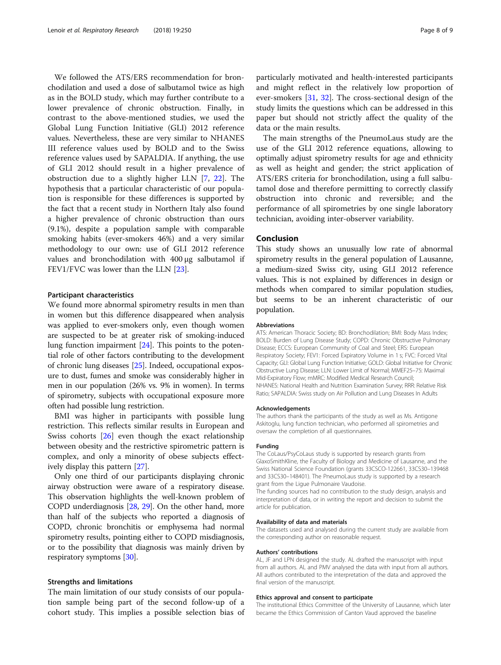We followed the ATS/ERS recommendation for bronchodilation and used a dose of salbutamol twice as high as in the BOLD study, which may further contribute to a lower prevalence of chronic obstruction. Finally, in contrast to the above-mentioned studies, we used the Global Lung Function Initiative (GLI) 2012 reference values. Nevertheless, these are very similar to NHANES III reference values used by BOLD and to the Swiss reference values used by SAPALDIA. If anything, the use of GLI 2012 should result in a higher prevalence of obstruction due to a slightly higher LLN [\[7](#page-8-0), [22](#page-8-0)]. The hypothesis that a particular characteristic of our population is responsible for these differences is supported by the fact that a recent study in Northern Italy also found a higher prevalence of chronic obstruction than ours (9.1%), despite a population sample with comparable smoking habits (ever-smokers 46%) and a very similar methodology to our own: use of GLI 2012 reference values and bronchodilation with 400 μg salbutamol if FEV1/FVC was lower than the LLN [[23](#page-8-0)].

## Participant characteristics

We found more abnormal spirometry results in men than in women but this difference disappeared when analysis was applied to ever-smokers only, even though women are suspected to be at greater risk of smoking-induced lung function impairment [\[24](#page-8-0)]. This points to the potential role of other factors contributing to the development of chronic lung diseases [[25](#page-8-0)]. Indeed, occupational exposure to dust, fumes and smoke was considerably higher in men in our population (26% vs. 9% in women). In terms of spirometry, subjects with occupational exposure more often had possible lung restriction.

BMI was higher in participants with possible lung restriction. This reflects similar results in European and Swiss cohorts [[26](#page-8-0)] even though the exact relationship between obesity and the restrictive spirometric pattern is complex, and only a minority of obese subjects effectively display this pattern [\[27](#page-8-0)].

Only one third of our participants displaying chronic airway obstruction were aware of a respiratory disease. This observation highlights the well-known problem of COPD underdiagnosis [[28](#page-8-0), [29](#page-8-0)]. On the other hand, more than half of the subjects who reported a diagnosis of COPD, chronic bronchitis or emphysema had normal spirometry results, pointing either to COPD misdiagnosis, or to the possibility that diagnosis was mainly driven by respiratory symptoms [\[30\]](#page-8-0).

### Strengths and limitations

The main limitation of our study consists of our population sample being part of the second follow-up of a cohort study. This implies a possible selection bias of

particularly motivated and health-interested participants and might reflect in the relatively low proportion of ever-smokers [[31,](#page-8-0) [32](#page-8-0)]. The cross-sectional design of the study limits the questions which can be addressed in this paper but should not strictly affect the quality of the data or the main results.

The main strengths of the PneumoLaus study are the use of the GLI 2012 reference equations, allowing to optimally adjust spirometry results for age and ethnicity as well as height and gender; the strict application of ATS/ERS criteria for bronchodilation, using a full salbutamol dose and therefore permitting to correctly classify obstruction into chronic and reversible; and the performance of all spirometries by one single laboratory technician, avoiding inter-observer variability.

## Conclusion

This study shows an unusually low rate of abnormal spirometry results in the general population of Lausanne, a medium-sized Swiss city, using GLI 2012 reference values. This is not explained by differences in design or methods when compared to similar population studies, but seems to be an inherent characteristic of our population.

#### Abbreviations

ATS: American Thoracic Society; BD: Bronchodilation; BMI: Body Mass Index; BOLD: Burden of Lung Disease Study; COPD: Chronic Obstructive Pulmonary Disease; ECCS: European Community of Coal and Steel; ERS: European Respiratory Society; FEV1: Forced Expiratory Volume in 1 s; FVC: Forced Vital Capacity; GLI: Global Lung Function Initiative; GOLD: Global Initiative for Chronic Obstructive Lung Disease; LLN: Lower Limit of Normal; MMEF25–75: Maximal Mid-Expiratory Flow; mMRC: Modified Medical Research Council; NHANES: National Health and Nutrition Examination Survey; RRR: Relative Risk Ratio; SAPALDIA: Swiss study on Air Pollution and Lung Diseases In Adults

#### Acknowledgements

The authors thank the participants of the study as well as Ms. Antigone Askitoglu, lung function technician, who performed all spirometries and oversaw the completion of all questionnaires.

#### Funding

The CoLaus/PsyCoLaus study is supported by research grants from GlaxoSmithKline, the Faculty of Biology and Medicine of Lausanne, and the Swiss National Science Foundation (grants 33CSCO-122661, 33CS30–139468 and 33CS30–148401). The PneumoLaus study is supported by a research grant from the Ligue Pulmonaire Vaudoise.

The funding sources had no contribution to the study design, analysis and interpretation of data, or in writing the report and decision to submit the article for publication.

#### Availability of data and materials

The datasets used and analysed during the current study are available from the corresponding author on reasonable request.

#### Authors' contributions

AL, JF and LPN designed the study. AL drafted the manuscript with input from all authors. AL and PMV analysed the data with input from all authors. All authors contributed to the interpretation of the data and approved the final version of the manuscript.

#### Ethics approval and consent to participate

The institutional Ethics Committee of the University of Lausanne, which later became the Ethics Commission of Canton Vaud approved the baseline